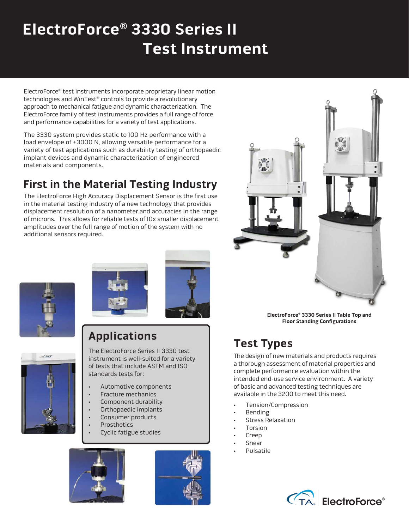# **ElectroForce® 3330 Series II Test Instrument**

ElectroForce® test instruments incorporate proprietary linear motion technologies and WinTest® controls to provide a revolutionary approach to mechanical fatigue and dynamic characterization. The ElectroForce family of test instruments provides a full range of force and performance capabilities for a variety of test applications.

The 3330 system provides static to 100 Hz performance with a load envelope of ±3000 N, allowing versatile performance for a variety of test applications such as durability testing of orthopaedic implant devices and dynamic characterization of engineered materials and components.

# **First in the Material Testing Industry**

The ElectroForce High Accuracy Displacement Sensor is the first use in the material testing industry of a new technology that provides displacement resolution of a nanometer and accuracies in the range of microns. This allows for reliable tests of 10x smaller displacement amplitudes over the full range of motion of the system with no additional sensors required.



**ElectroForce® 3330 Series II Table Top and Floor Standing Configurations** 

# **Test Types**

The design of new materials and products requires a thorough assessment of material properties and complete performance evaluation within the intended end-use service environment. A variety of basic and advanced testing techniques are available in the 3200 to meet this need.

- Tension/Compression
- Bending
- Stress Relaxation
- **Torsion**
- Creep
- Shear
- Pulsatile







# **Applications**



The ElectroForce Series II 3330 test instrument is well-suited for a variety of tests that include ASTM and ISO standards tests for:

- Automotive components
- Fracture mechanics
- Component durability
- Orthopaedic implants
- Consumer products
- **Prosthetics**
- Cyclic fatigue studies



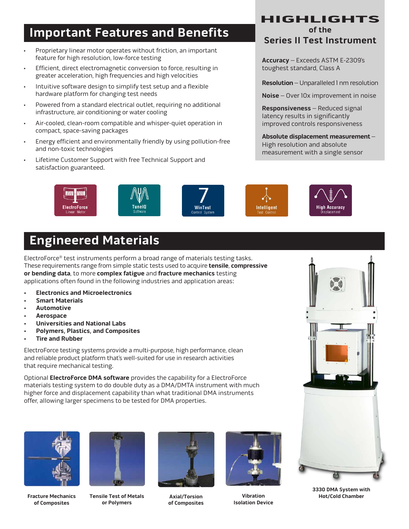## **of the Important Features and Benefits**

- Proprietary linear motor operates without friction, an important feature for high resolution, low-force testing
- Efficient, direct electromagnetic conversion to force, resulting in greater acceleration, high frequencies and high velocities
- Intuitive software design to simplify test setup and a flexible hardware platform for changing test needs
- Powered from a standard electrical outlet, requiring no additional infrastructure, air conditioning or water cooling
- Air-cooled, clean-room compatible and whisper-quiet operation in compact, space-saving packages
- Energy efficient and environmentally friendly by using pollution-free and non-toxic technologies
- Lifetime Customer Support with free Technical Support and satisfaction guaranteed.

# **HIGHLIGHTS**

### **Series II Test Instrument**

**Accuracy** – Exceeds ASTM E-2309's toughest standard, Class A

**Resolution** – Unparalleled 1 nm resolution

**Noise** – Over 10x improvement in noise

**Responsiveness** – Reduced signal latency results in significantly improved controls responsiveness

**Absolute displacement measurement** – High resolution and absolute measurement with a single sensor





# **Engineered Materials**

ElectroForce® test instruments perform a broad range of materials testing tasks. These requirements range from simple static tests used to acquire **tensile**, **compressive or bending data**, to more **complex fatigue** and **fracture mechanics** testing applications often found in the following industries and application areas:

- **• Electronics and Microelectronics**
- **• Smart Materials**
- **• Automotive**
- **• Aerospace**
- **• Universities and National Labs**
- **• Polymers, Plastics, and Composites**
- **• Tire and Rubber**

ElectroForce testing systems provide a multi-purpose, high performance, clean and reliable product platform that's well-suited for use in research activities that require mechanical testing.

Optional **ElectroForce DMA software** provides the capability for a ElectroForce materials testing system to do double duty as a DMA/DMTA instrument with much higher force and displacement capability than what traditional DMA instruments offer, allowing larger specimens to be tested for DMA properties.



**Fracture Mechanics of Composites**



**Tensile Test of Metals or Polymers**



**Axial/Torsion of Composites**



**Vibration Isolation Device**



**3330 DMA System with**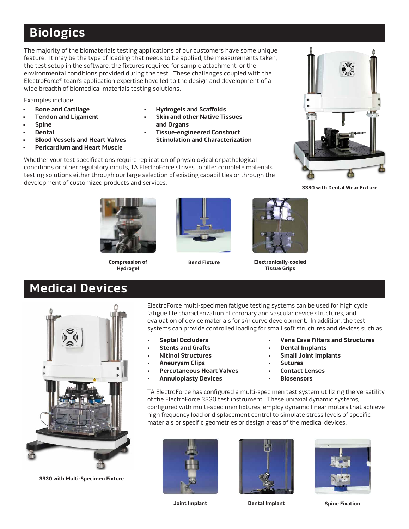# **Biologics**

The majority of the biomaterials testing applications of our customers have some unique feature. It may be the type of loading that needs to be applied, the measurements taken, the test setup in the software, the fixtures required for sample attachment, or the environmental conditions provided during the test. These challenges coupled with the ElectroForce® team's application expertise have led to the design and development of a wide breadth of biomedical materials testing solutions.

Examples include:

- **• Bone and Cartilage**
- **• Tendon and Ligament**
- **• Spine**
- **• Dental**
- **• Blood Vessels and Heart Valves**
- **• Pericardium and Heart Muscle**
- **• Hydrogels and Scaffolds**
- **• Skin and other Native Tissues and Organs**
- **• Tissue-engineered Construct Stimulation and Characterization**

Whether your test specifications require replication of physiological or pathological conditions or other regulatory inputs, TA ElectroForce strives to offer complete materials testing solutions either through our large selection of existing capabilities or through the development of customized products and services.



**3330 with Dental Wear Fixture**



**Compression of Hydrogel**





**Bend Fixture Electronically-cooled Tissue Grips**

# **Medical Devices**

**3330 with Multi-Specimen Fixture**

ElectroForce multi-specimen fatigue testing systems can be used for high cycle fatigue life characterization of coronary and vascular device structures, and evaluation of device materials for s/n curve development. In addition, the test systems can provide controlled loading for small soft structures and devices such as:

- **• Septal Occluders**
- **• Stents and Grafts**
- **• Nitinol Structures**
- **• Aneurysm Clips**
- **• Percutaneous Heart Valves**
- **• Annuloplasty Devices**
- **• Vena Cava Filters and Structures**
- **• Dental Implants**
- **• Small Joint Implants**
- **• Sutures**
- **• Contact Lenses**
- **• Biosensors**

TA ElectroForce has configured a multi-specimen test system utilizing the versatility of the ElectroForce 3330 test instrument. These uniaxial dynamic systems, configured with multi-specimen fixtures, employ dynamic linear motors that achieve high frequency load or displacement control to simulate stress levels of specific materials or specific geometries or design areas of the medical devices.







**Joint Implant Dental Implant Spine Fixation**